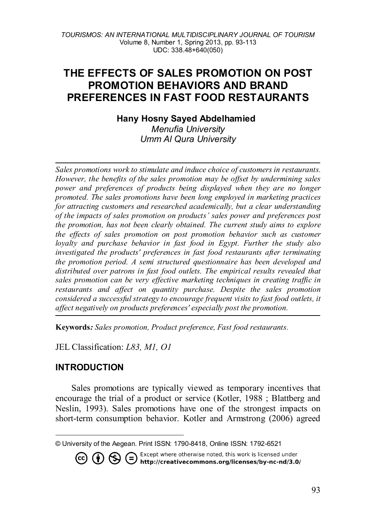# **THE EFFECTS OF SALES PROMOTION ON POST PROMOTION BEHAVIORS AND BRAND PREFERENCES IN FAST FOOD RESTAURANTS**

**Hany Hosny Sayed Abdelhamied[1](#page-0-0)**

*Menufia University Umm Al Qura University*

*Sales promotions work to stimulate and induce choice of customers in restaurants. However, the benefits of the sales promotion may be offset by undermining sales power and preferences of products being displayed when they are no longer promoted. The sales promotions have been long employed in marketing practices for attracting customers and researched academically, but a clear understanding of the impacts of sales promotion on products' sales power and preferences post the promotion, has not been clearly obtained. The current study aims to explore the effects of sales promotion on post promotion behavior such as customer loyalty and purchase behavior in fast food in Egypt. Further the study also investigated the products' preferences in fast food restaurants after terminating the promotion period. A semi structured questionnaire has been developed and distributed over patrons in fast food outlets. The empirical results revealed that sales promotion can be very effective marketing techniques in creating traffic in restaurants and affect on quantity purchase. Despite the sales promotion considered a successful strategy to encourage frequent visits to fast food outlets, it affect negatively on products preferences' especially post the promotion.*

**Keywords***: Sales promotion, Product preference, Fast food restaurants.* 

JEL Classification: *L83, M1, O1*

## **INTRODUCTION**

Sales promotions are typically viewed as temporary incentives that encourage the trial of a product or service (Kotler, 1988 ; Blattberg and Neslin, 1993). Sales promotions have one of the strongest impacts on short-term consumption behavior. Kotler and Armstrong (2006) agreed

**CO (i)**  $\bigoplus$  **C** Except where otherwise noted, this work is licensed under **http://creativecommons.org/licenses/by-nc-nd/3.0/** 

<span id="page-0-0"></span>l © University of the Aegean. Print ISSN: 1790-8418, Online ISSN: 1792-6521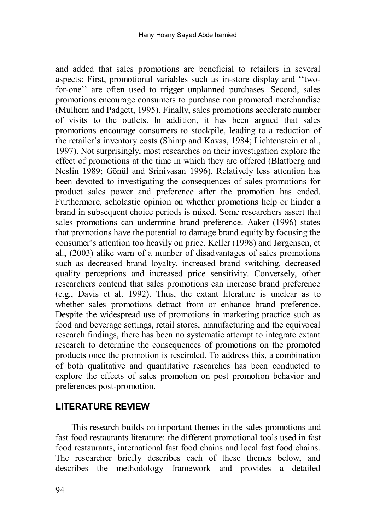and added that sales promotions are beneficial to retailers in several aspects: First, promotional variables such as in-store display and ''twofor-one" are often used to trigger unplanned purchases. Second, sales promotions encourage consumers to purchase non promoted merchandise (Mulhern and Padgett, 1995). Finally, sales promotions accelerate number of visits to the outlets. In addition, it has been argued that sales promotions encourage consumers to stockpile, leading to a reduction of the retailer's inventory costs (Shimp and Kavas, 1984; Lichtenstein et al., 1997). Not surprisingly, most researches on their investigation explore the effect of promotions at the time in which they are offered (Blattberg and Neslin 1989; Gönül and Srinivasan 1996). Relatively less attention has been devoted to investigating the consequences of sales promotions for product sales power and preference after the promotion has ended. Furthermore, scholastic opinion on whether promotions help or hinder a brand in subsequent choice periods is mixed. Some researchers assert that sales promotions can undermine brand preference. Aaker (1996) states that promotions have the potential to damage brand equity by focusing the consumer's attention too heavily on price. Keller (1998) and Jørgensen, et al., (2003) alike warn of a number of disadvantages of sales promotions such as decreased brand loyalty, increased brand switching, decreased quality perceptions and increased price sensitivity. Conversely, other researchers contend that sales promotions can increase brand preference (e.g., Davis et al. 1992). Thus, the extant literature is unclear as to whether sales promotions detract from or enhance brand preference. Despite the widespread use of promotions in marketing practice such as food and beverage settings, retail stores, manufacturing and the equivocal research findings, there has been no systematic attempt to integrate extant research to determine the consequences of promotions on the promoted products once the promotion is rescinded. To address this, a combination of both qualitative and quantitative researches has been conducted to explore the effects of sales promotion on post promotion behavior and preferences post-promotion.

## **LITERATURE REVIEW**

This research builds on important themes in the sales promotions and fast food restaurants literature: the different promotional tools used in fast food restaurants, international fast food chains and local fast food chains. The researcher briefly describes each of these themes below, and describes the methodology framework and provides a detailed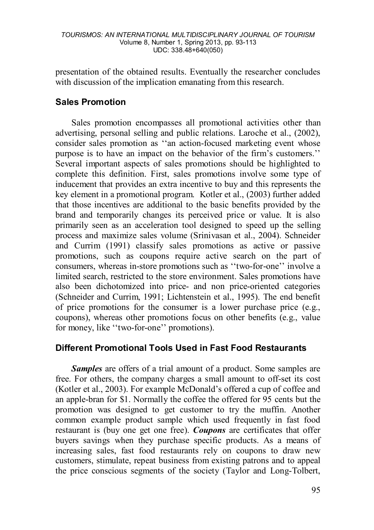presentation of the obtained results. Eventually the researcher concludes with discussion of the implication emanating from this research.

## **Sales Promotion**

Sales promotion encompasses all promotional activities other than advertising, personal selling and public relations. Laroche et al., (2002), consider sales promotion as ''an action-focused marketing event whose purpose is to have an impact on the behavior of the firm's customers.'' Several important aspects of sales promotions should be highlighted to complete this definition. First, sales promotions involve some type of inducement that provides an extra incentive to buy and this represents the key element in a promotional program. Kotler et al., (2003) further added that those incentives are additional to the basic benefits provided by the brand and temporarily changes its perceived price or value. It is also primarily seen as an acceleration tool designed to speed up the selling process and maximize sales volume (Srinivasan et al., 2004). Schneider and Currim (1991) classify sales promotions as active or passive promotions, such as coupons require active search on the part of consumers, whereas in-store promotions such as ''two-for-one'' involve a limited search, restricted to the store environment. Sales promotions have also been dichotomized into price- and non price-oriented categories (Schneider and Currim, 1991; Lichtenstein et al., 1995). The end benefit of price promotions for the consumer is a lower purchase price (e.g., coupons), whereas other promotions focus on other benefits (e.g., value for money, like ''two-for-one'' promotions).

### **Different Promotional Tools Used in Fast Food Restaurants**

*Samples* are offers of a trial amount of a product. Some samples are free. For others, the company charges a small amount to off-set its cost (Kotler et al., 2003). For example McDonald's offered a cup of coffee and an apple-bran for \$1. Normally the coffee the offered for 95 cents but the promotion was designed to get customer to try the muffin. Another common example product sample which used frequently in fast food restaurant is (buy one get one free). *Coupons* are certificates that offer buyers savings when they purchase specific products. As a means of increasing sales, fast food restaurants rely on coupons to draw new customers, stimulate, repeat business from existing patrons and to appeal the price conscious segments of the society (Taylor and Long-Tolbert,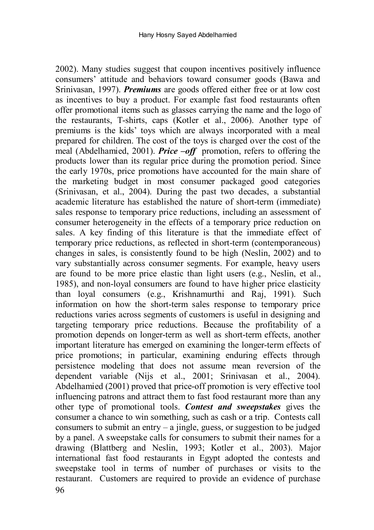2002). Many studies suggest that coupon incentives positively influence consumers' attitude and behaviors toward consumer goods (Bawa and Srinivasan, 1997). *Premiums* are goods offered either free or at low cost as incentives to buy a product. For example fast food restaurants often offer promotional items such as glasses carrying the name and the logo of the restaurants, T-shirts, caps (Kotler et al., 2006). Another type of premiums is the kids' toys which are always incorporated with a meal prepared for children. The cost of the toys is charged over the cost of the meal (Abdelhamied, 2001). *Price –off* promotion, refers to offering the products lower than its regular price during the promotion period. Since the early 1970s, price promotions have accounted for the main share of the marketing budget in most consumer packaged good categories (Srinivasan, et al., 2004). During the past two decades, a substantial academic literature has established the nature of short-term (immediate) sales response to temporary price reductions, including an assessment of consumer heterogeneity in the effects of a temporary price reduction on sales. A key finding of this literature is that the immediate effect of temporary price reductions, as reflected in short-term (contemporaneous) changes in sales, is consistently found to be high (Neslin, 2002) and to vary substantially across consumer segments. For example, heavy users are found to be more price elastic than light users (e.g., Neslin, et al., 1985), and non-loyal consumers are found to have higher price elasticity than loyal consumers (e.g., Krishnamurthi and Raj, 1991). Such information on how the short-term sales response to temporary price reductions varies across segments of customers is useful in designing and targeting temporary price reductions. Because the profitability of a promotion depends on longer-term as well as short-term effects, another important literature has emerged on examining the longer-term effects of price promotions; in particular, examining enduring effects through persistence modeling that does not assume mean reversion of the dependent variable (Nijs et al., 2001; Srinivasan et al., 2004). Abdelhamied (2001) proved that price-off promotion is very effective tool influencing patrons and attract them to fast food restaurant more than any other type of promotional tools. *Contest and sweepstakes* gives the consumer a chance to win something, such as cash or a trip. Contests call consumers to submit an entry  $-$  a jingle, guess, or suggestion to be judged by a panel. A sweepstake calls for consumers to submit their names for a drawing (Blattberg and Neslin, 1993; Kotler et al., 2003). Major international fast food restaurants in Egypt adopted the contests and sweepstake tool in terms of number of purchases or visits to the restaurant. Customers are required to provide an evidence of purchase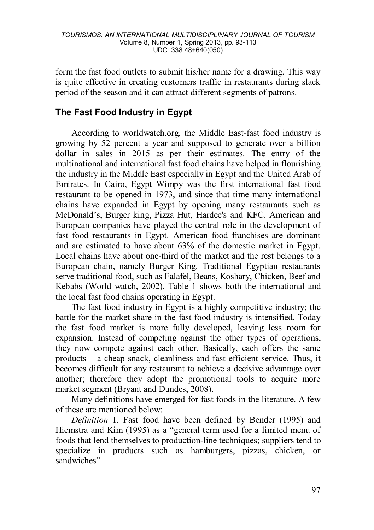form the fast food outlets to submit his/her name for a drawing. This way is quite effective in creating customers traffic in restaurants during slack period of the season and it can attract different segments of patrons.

## **The Fast Food Industry in Egypt**

According to worldwatch.org, the Middle East-fast food industry is growing by 52 percent a year and supposed to generate over a billion dollar in sales in 2015 as per their estimates. The entry of the multinational and international fast food chains have helped in flourishing the industry in the Middle East especially in Egypt and the United Arab of Emirates. In Cairo, Egypt Wimpy was the first international fast food restaurant to be opened in 1973, and since that time many international chains have expanded in Egypt by opening many restaurants such as McDonald's, Burger king, Pizza Hut, Hardee's and KFC. American and European companies have played the central role in the development of fast food restaurants in Egypt. American food franchises are dominant and are estimated to have about 63% of the domestic market in Egypt. Local chains have about one-third of the market and the rest belongs to a European chain, namely Burger King. Traditional Egyptian restaurants serve traditional food, such as Falafel, Beans, Koshary, Chicken, Beef and Kebabs (World watch, 2002). Table 1 shows both the international and the local fast food chains operating in Egypt.

The fast food industry in Egypt is a highly competitive industry; the battle for the market share in the fast food industry is intensified. Today the fast food market is more fully developed, leaving less room for expansion. Instead of competing against the other types of operations, they now compete against each other. Basically, each offers the same products – a cheap snack, cleanliness and fast efficient service. Thus, it becomes difficult for any restaurant to achieve a decisive advantage over another; therefore they adopt the promotional tools to acquire more market segment (Bryant and Dundes, 2008).

Many definitions have emerged for fast foods in the literature. A few of these are mentioned below:

*Definition* 1. Fast food have been defined by Bender (1995) and Hiemstra and Kim (1995) as a "general term used for a limited menu of foods that lend themselves to production-line techniques; suppliers tend to specialize in products such as hamburgers, pizzas, chicken, or sandwiches"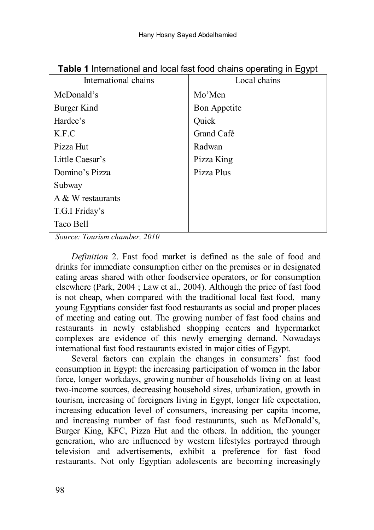| International chains | Local chains |
|----------------------|--------------|
| McDonald's           | Mo'Men       |
| Burger Kind          | Bon Appetite |
| Hardee's             | Quick        |
| K.F.C                | Grand Café   |
| Pizza Hut            | Radwan       |
| Little Caesar's      | Pizza King   |
| Domino's Pizza       | Pizza Plus   |
| Subway               |              |
| A $&$ W restaurants  |              |
| T.G.I Friday's       |              |
| Taco Bell            |              |

**Table 1** International and local fast food chains operating in Egypt

*Source: Tourism chamber, 2010*

*Definition* 2. Fast food market is defined as the sale of food and drinks for immediate consumption either on the premises or in designated eating areas shared with other foodservice operators, or for consumption elsewhere (Park, 2004 ; Law et al., 2004). Although the price of fast food is not cheap, when compared with the traditional local fast food, many young Egyptians consider fast food restaurants as social and proper places of meeting and eating out. The growing number of fast food chains and restaurants in newly established shopping centers and hypermarket complexes are evidence of this newly emerging demand. Nowadays international fast food restaurants existed in major cities of Egypt.

Several factors can explain the changes in consumers' fast food consumption in Egypt: the increasing participation of women in the labor force, longer workdays, growing number of households living on at least two-income sources, decreasing household sizes, urbanization, growth in tourism, increasing of foreigners living in Egypt, longer life expectation, increasing education level of consumers, increasing per capita income, and increasing number of fast food restaurants, such as McDonald's, Burger King, KFC, Pizza Hut and the others. In addition, the younger generation, who are influenced by western lifestyles portrayed through television and advertisements, exhibit a preference for fast food restaurants. Not only Egyptian adolescents are becoming increasingly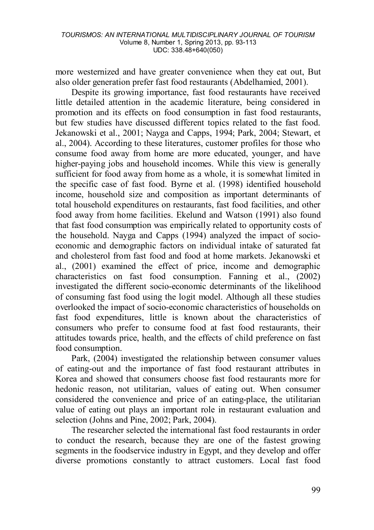more westernized and have greater convenience when they eat out, But also older generation prefer fast food restaurants (Abdelhamied, 2001).

Despite its growing importance, fast food restaurants have received little detailed attention in the academic literature, being considered in promotion and its effects on food consumption in fast food restaurants, but few studies have discussed different topics related to the fast food. Jekanowski et al., 2001; Nayga and Capps, 1994; Park, 2004; Stewart, et al., 2004). According to these literatures, customer profiles for those who consume food away from home are more educated, younger, and have higher-paying jobs and household incomes. While this view is generally sufficient for food away from home as a whole, it is somewhat limited in the specific case of fast food. Byrne et al. (1998) identified household income, household size and composition as important determinants of total household expenditures on restaurants, fast food facilities, and other food away from home facilities. Ekelund and Watson (1991) also found that fast food consumption was empirically related to opportunity costs of the household. Nayga and Capps (1994) analyzed the impact of socioeconomic and demographic factors on individual intake of saturated fat and cholesterol from fast food and food at home markets. Jekanowski et al., (2001) examined the effect of price, income and demographic characteristics on fast food consumption. Fanning et al., (2002) investigated the different socio-economic determinants of the likelihood of consuming fast food using the logit model. Although all these studies overlooked the impact of socio-economic characteristics of households on fast food expenditures, little is known about the characteristics of consumers who prefer to consume food at fast food restaurants, their attitudes towards price, health, and the effects of child preference on fast food consumption.

Park, (2004) investigated the relationship between consumer values of eating-out and the importance of fast food restaurant attributes in Korea and showed that consumers choose fast food restaurants more for hedonic reason, not utilitarian, values of eating out. When consumer considered the convenience and price of an eating-place, the utilitarian value of eating out plays an important role in restaurant evaluation and selection (Johns and Pine, 2002; Park, 2004).

The researcher selected the international fast food restaurants in order to conduct the research, because they are one of the fastest growing segments in the foodservice industry in Egypt, and they develop and offer diverse promotions constantly to attract customers. Local fast food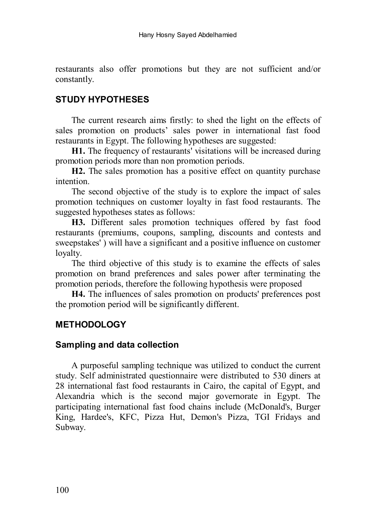restaurants also offer promotions but they are not sufficient and/or constantly.

## **STUDY HYPOTHESES**

The current research aims firstly: to shed the light on the effects of sales promotion on products' sales power in international fast food restaurants in Egypt. The following hypotheses are suggested:

**H1.** The frequency of restaurants' visitations will be increased during promotion periods more than non promotion periods.

**H2.** The sales promotion has a positive effect on quantity purchase intention.

The second objective of the study is to explore the impact of sales promotion techniques on customer loyalty in fast food restaurants. The suggested hypotheses states as follows:

**H3.** Different sales promotion techniques offered by fast food restaurants (premiums, coupons, sampling, discounts and contests and sweepstakes') will have a significant and a positive influence on customer loyalty.

The third objective of this study is to examine the effects of sales promotion on brand preferences and sales power after terminating the promotion periods, therefore the following hypothesis were proposed

**H4.** The influences of sales promotion on products' preferences post the promotion period will be significantly different.

## **METHODOLOGY**

### **Sampling and data collection**

A purposeful sampling technique was utilized to conduct the current study. Self administrated questionnaire were distributed to 530 diners at 28 international fast food restaurants in Cairo, the capital of Egypt, and Alexandria which is the second major governorate in Egypt. The participating international fast food chains include (McDonald's, Burger King, Hardee's, KFC, Pizza Hut, Demon's Pizza, TGI Fridays and Subway.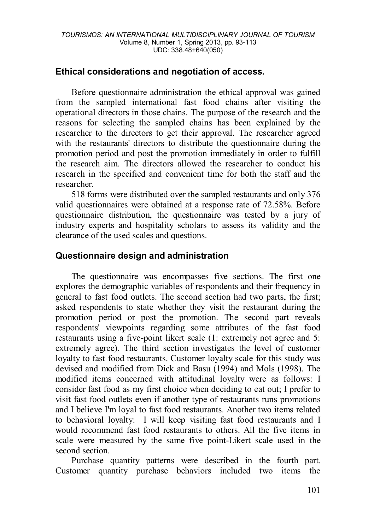### **Ethical considerations and negotiation of access.**

Before questionnaire administration the ethical approval was gained from the sampled international fast food chains after visiting the operational directors in those chains. The purpose of the research and the reasons for selecting the sampled chains has been explained by the researcher to the directors to get their approval. The researcher agreed with the restaurants' directors to distribute the questionnaire during the promotion period and post the promotion immediately in order to fulfill the research aim. The directors allowed the researcher to conduct his research in the specified and convenient time for both the staff and the researcher.

518 forms were distributed over the sampled restaurants and only 376 valid questionnaires were obtained at a response rate of 72.58%. Before questionnaire distribution, the questionnaire was tested by a jury of industry experts and hospitality scholars to assess its validity and the clearance of the used scales and questions.

## **Questionnaire design and administration**

The questionnaire was encompasses five sections. The first one explores the demographic variables of respondents and their frequency in general to fast food outlets. The second section had two parts, the first; asked respondents to state whether they visit the restaurant during the promotion period or post the promotion. The second part reveals respondents' viewpoints regarding some attributes of the fast food restaurants using a five-point likert scale (1: extremely not agree and 5: extremely agree). The third section investigates the level of customer loyalty to fast food restaurants. Customer loyalty scale for this study was devised and modified from Dick and Basu (1994) and Mols (1998). The modified items concerned with attitudinal loyalty were as follows: I consider fast food as my first choice when deciding to eat out; I prefer to visit fast food outlets even if another type of restaurants runs promotions and I believe I'm loyal to fast food restaurants. Another two items related to behavioral loyalty: I will keep visiting fast food restaurants and I would recommend fast food restaurants to others. All the five items in scale were measured by the same five point-Likert scale used in the second section.

Purchase quantity patterns were described in the fourth part. Customer quantity purchase behaviors included two items the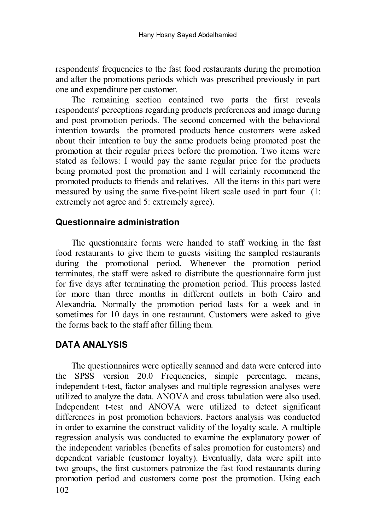respondents' frequencies to the fast food restaurants during the promotion and after the promotions periods which was prescribed previously in part one and expenditure per customer.

The remaining section contained two parts the first reveals respondents' perceptions regarding products preferences and image during and post promotion periods. The second concerned with the behavioral intention towards the promoted products hence customers were asked about their intention to buy the same products being promoted post the promotion at their regular prices before the promotion. Two items were stated as follows: I would pay the same regular price for the products being promoted post the promotion and I will certainly recommend the promoted products to friends and relatives. All the items in this part were measured by using the same five-point likert scale used in part four (1: extremely not agree and 5: extremely agree).

#### **Questionnaire administration**

The questionnaire forms were handed to staff working in the fast food restaurants to give them to guests visiting the sampled restaurants during the promotional period. Whenever the promotion period terminates, the staff were asked to distribute the questionnaire form just for five days after terminating the promotion period. This process lasted for more than three months in different outlets in both Cairo and Alexandria. Normally the promotion period lasts for a week and in sometimes for 10 days in one restaurant. Customers were asked to give the forms back to the staff after filling them.

## **DATA ANALYSIS**

102 The questionnaires were optically scanned and data were entered into the SPSS version 20.0 Frequencies, simple percentage, means, independent t-test, factor analyses and multiple regression analyses were utilized to analyze the data. ANOVA and cross tabulation were also used. Independent t-test and ANOVA were utilized to detect significant differences in post promotion behaviors. Factors analysis was conducted in order to examine the construct validity of the loyalty scale. A multiple regression analysis was conducted to examine the explanatory power of the independent variables (benefits of sales promotion for customers) and dependent variable (customer loyalty). Eventually, data were spilt into two groups, the first customers patronize the fast food restaurants during promotion period and customers come post the promotion. Using each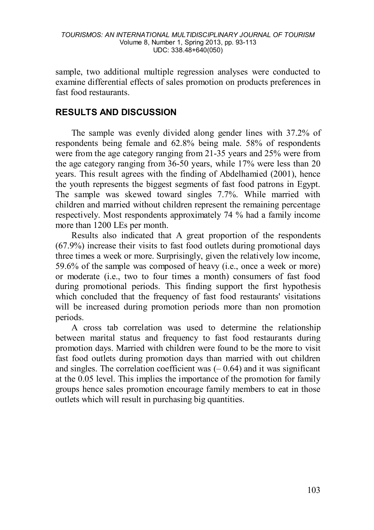sample, two additional multiple regression analyses were conducted to examine differential effects of sales promotion on products preferences in fast food restaurants.

## **RESULTS AND DISCUSSION**

The sample was evenly divided along gender lines with 37.2% of respondents being female and 62.8% being male. 58% of respondents were from the age category ranging from 21-35 years and 25% were from the age category ranging from 36-50 years, while 17% were less than 20 years. This result agrees with the finding of Abdelhamied (2001), hence the youth represents the biggest segments of fast food patrons in Egypt. The sample was skewed toward singles 7.7%. While married with children and married without children represent the remaining percentage respectively. Most respondents approximately 74 % had a family income more than 1200 LEs per month.

Results also indicated that A great proportion of the respondents (67.9%) increase their visits to fast food outlets during promotional days three times a week or more. Surprisingly, given the relatively low income, 59.6% of the sample was composed of heavy (i.e., once a week or more) or moderate (i.e., two to four times a month) consumers of fast food during promotional periods. This finding support the first hypothesis which concluded that the frequency of fast food restaurants' visitations will be increased during promotion periods more than non promotion periods.

A cross tab correlation was used to determine the relationship between marital status and frequency to fast food restaurants during promotion days. Married with children were found to be the more to visit fast food outlets during promotion days than married with out children and singles. The correlation coefficient was  $(-0.64)$  and it was significant at the 0.05 level. This implies the importance of the promotion for family groups hence sales promotion encourage family members to eat in those outlets which will result in purchasing big quantities.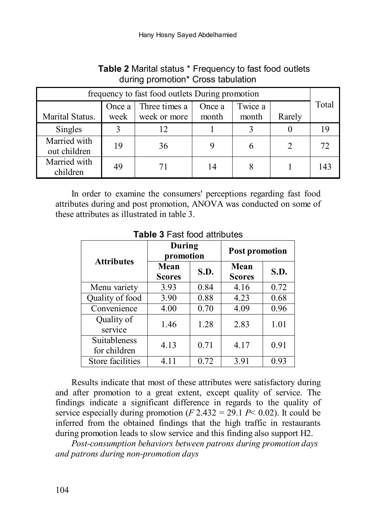| frequency to fast food outlets During promotion |      |              |       |       |        |     |  |
|-------------------------------------------------|------|--------------|-------|-------|--------|-----|--|
| Twice a<br>Three times a<br>Once a<br>Once a    |      |              |       |       |        |     |  |
| Marital Status.                                 | week | week or more | month | month | Rarely |     |  |
| Singles                                         |      |              |       |       |        | 19  |  |
| Married with<br>out children                    | 19   | 36           |       |       |        | 72. |  |
| Married with<br>children                        | 49   |              |       |       |        | 143 |  |

## **Table 2** Marital status \* Frequency to fast food outlets during promotion\* Cross tabulation

In order to examine the consumers' perceptions regarding fast food attributes during and post promotion, ANOVA was conducted on some of these attributes as illustrated in table 3.

| <b>Attributes</b>            | During<br>promotion   |      | <b>Post promotion</b> |      |  |
|------------------------------|-----------------------|------|-----------------------|------|--|
|                              | Mean<br><b>Scores</b> | S.D. | Mean<br><b>Scores</b> | S.D. |  |
| Menu variety                 | 3.93                  | 0.84 | 4.16                  | 0.72 |  |
| Quality of food              | 3.90                  | 0.88 | 4.23                  | 0.68 |  |
| Convenience                  | 4.00                  | 0.70 | 4.09                  | 0.96 |  |
| Quality of<br>service        | 1.46                  | 1.28 | 2.83                  | 1.01 |  |
| Suitableness<br>for children | 4.13                  | 0.71 | 4.17                  | 0.91 |  |
| Store facilities             | 4.11                  | 0.72 | 3.91                  | 0.93 |  |

**Table 3** Fast food attributes

Results indicate that most of these attributes were satisfactory during and after promotion to a great extent, except quality of service. The findings indicate a significant difference in regards to the quality of service especially during promotion  $(F 2.432 = 29.1 \text{ } P \le 0.02)$ . It could be inferred from the obtained findings that the high traffic in restaurants during promotion leads to slow service and this finding also support H2.

*Post-consumption behaviors between patrons during promotion days and patrons during non-promotion days*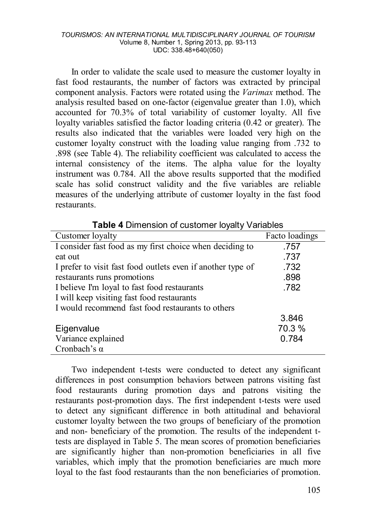#### *TOURISMOS: AN INTERNATIONAL MULTIDISCIPLINARY JOURNAL OF TOURISM* Volume 8, Number 1, Spring 2013, pp. 93-113 UDC: 338.48+640(050)

In order to validate the scale used to measure the customer loyalty in fast food restaurants, the number of factors was extracted by principal component analysis. Factors were rotated using the *Varimax* method. The analysis resulted based on one-factor (eigenvalue greater than 1.0), which accounted for 70.3% of total variability of customer loyalty. All five loyalty variables satisfied the factor loading criteria (0.42 or greater). The results also indicated that the variables were loaded very high on the customer loyalty construct with the loading value ranging from .732 to .898 (see Table 4). The reliability coefficient was calculated to access the internal consistency of the items. The alpha value for the loyalty instrument was 0.784. All the above results supported that the modified scale has solid construct validity and the five variables are reliable measures of the underlying attribute of customer loyalty in the fast food restaurants.

| Customer loyalty                                            | Facto loadings |
|-------------------------------------------------------------|----------------|
| I consider fast food as my first choice when deciding to    | .757           |
| eat out                                                     | .737           |
| I prefer to visit fast food outlets even if another type of | .732           |
| restaurants runs promotions                                 | .898           |
| I believe I'm loyal to fast food restaurants                | .782           |
| I will keep visiting fast food restaurants                  |                |
| I would recommend fast food restaurants to others           |                |
|                                                             | 3.846          |
| Eigenvalue                                                  | 70.3 %         |
| Variance explained                                          | 0.784          |
| Cronbach's $\alpha$                                         |                |

**Table 4** Dimension of customer loyalty Variables

Two independent t-tests were conducted to detect any significant differences in post consumption behaviors between patrons visiting fast food restaurants during promotion days and patrons visiting the restaurants post-promotion days. The first independent t-tests were used to detect any significant difference in both attitudinal and behavioral customer loyalty between the two groups of beneficiary of the promotion and non- beneficiary of the promotion. The results of the independent ttests are displayed in Table 5. The mean scores of promotion beneficiaries are significantly higher than non-promotion beneficiaries in all five variables, which imply that the promotion beneficiaries are much more loyal to the fast food restaurants than the non beneficiaries of promotion.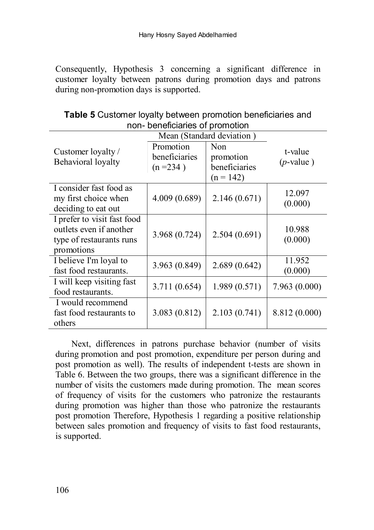Consequently, Hypothesis 3 concerning a significant difference in customer loyalty between patrons during promotion days and patrons during non-promotion days is supported.

| <u>11011- Defiencialies Of profitution</u> |               |               |               |  |  |
|--------------------------------------------|---------------|---------------|---------------|--|--|
| Mean (Standard deviation)                  |               |               |               |  |  |
| Customer loyalty /                         | Promotion     | Non           | t-value       |  |  |
| Behavioral loyalty                         | beneficiaries | promotion     | $(p$ -value)  |  |  |
|                                            | $(n=234)$     | beneficiaries |               |  |  |
|                                            |               | $(n = 142)$   |               |  |  |
| I consider fast food as                    |               |               | 12.097        |  |  |
| my first choice when                       | 4.009 (0.689) | 2.146(0.671)  | (0.000)       |  |  |
| deciding to eat out                        |               |               |               |  |  |
| I prefer to visit fast food                |               |               |               |  |  |
| outlets even if another                    | 3.968 (0.724) | 2.504(0.691)  | 10.988        |  |  |
| type of restaurants runs                   |               |               | (0.000)       |  |  |
| promotions                                 |               |               |               |  |  |
| I believe I'm loyal to                     | 3.963 (0.849) | 2.689(0.642)  | 11.952        |  |  |
| fast food restaurants.                     |               |               | (0.000)       |  |  |
| I will keep visiting fast                  | 3.711 (0.654) | 1.989(0.571)  | 7.963(0.000)  |  |  |
| food restaurants.                          |               |               |               |  |  |
| I would recommend                          |               |               |               |  |  |
| fast food restaurants to                   | 3.083(0.812)  | 2.103(0.741)  | 8.812 (0.000) |  |  |
| others                                     |               |               |               |  |  |

**Table 5** Customer loyalty between promotion beneficiaries and non- beneficiaries of promotion

Next, differences in patrons purchase behavior (number of visits during promotion and post promotion, expenditure per person during and post promotion as well). The results of independent t-tests are shown in Table 6. Between the two groups, there was a significant difference in the number of visits the customers made during promotion. The mean scores of frequency of visits for the customers who patronize the restaurants during promotion was higher than those who patronize the restaurants post promotion Therefore, Hypothesis 1 regarding a positive relationship between sales promotion and frequency of visits to fast food restaurants, is supported.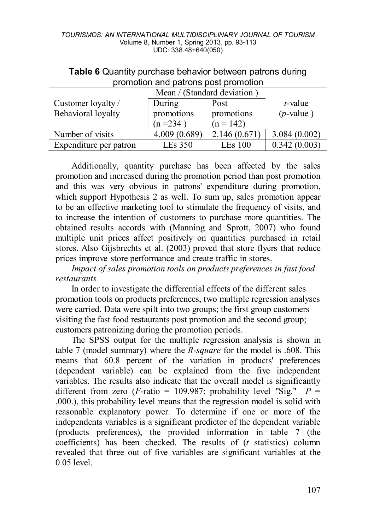| Mean / (Standard deviation) |              |              |              |  |
|-----------------------------|--------------|--------------|--------------|--|
| Customer loyalty /          | During       | Post         | t-value      |  |
| Behavioral loyalty          | promotions   | promotions   | $(p$ -value) |  |
|                             | $(n=234)$    | $(n = 142)$  |              |  |
| Number of visits            | 4.009(0.689) | 2.146(0.671) | 3.084(0.002) |  |
| Expenditure per patron      | LEs 350      | LEs 100      | 0.342(0.003) |  |

### **Table 6** Quantity purchase behavior between patrons during promotion and patrons post promotion

Additionally, quantity purchase has been affected by the sales promotion and increased during the promotion period than post promotion and this was very obvious in patrons' expenditure during promotion, which support Hypothesis 2 as well. To sum up, sales promotion appear to be an effective marketing tool to stimulate the frequency of visits, and to increase the intention of customers to purchase more quantities. The obtained results accords with (Manning and Sprott, 2007) who found multiple unit prices affect positively on quantities purchased in retail stores. Also Gijsbrechts et al. (2003) proved that store flyers that reduce prices improve store performance and create traffic in stores.

*Impact of sales promotion tools on products preferences in fast food restaurants* 

In order to investigate the differential effects of the different sales promotion tools on products preferences, two multiple regression analyses were carried. Data were spilt into two groups; the first group customers visiting the fast food restaurants post promotion and the second group; customers patronizing during the promotion periods.

The SPSS output for the multiple regression analysis is shown in table 7 (model summary) where the *R*-*square* for the model is .608. This means that 60.8 percent of the variation in products' preferences (dependent variable) can be explained from the five independent variables. The results also indicate that the overall model is significantly different from zero (*F*-ratio = 109.987; probability level "Sig."  $P =$ .000.), this probability level means that the regression model is solid with reasonable explanatory power. To determine if one or more of the independents variables is a significant predictor of the dependent variable (products preferences), the provided information in table 7 (the coefficients) has been checked. The results of (*t* statistics) column revealed that three out of five variables are significant variables at the 0.05 level.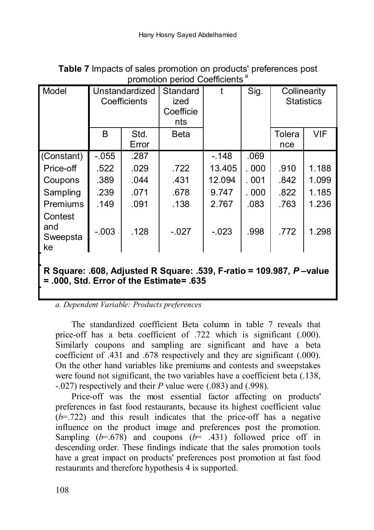| promotion penoa ooemeichts                                          |                                |               |                                      |          |       |               |                                   |
|---------------------------------------------------------------------|--------------------------------|---------------|--------------------------------------|----------|-------|---------------|-----------------------------------|
| Model                                                               | Unstandardized<br>Coefficients |               | Standard<br>ized<br>Coefficie<br>nts | t        | Sig.  |               | Collinearity<br><b>Statistics</b> |
|                                                                     | B                              | Std.<br>Error | Beta                                 |          |       | Tolera<br>nce | <b>VIF</b>                        |
|                                                                     |                                |               |                                      |          |       |               |                                   |
| (Constant)                                                          | $-0.55$                        | .287          |                                      | $-148$   | .069  |               |                                   |
| Price-off                                                           | .522                           | .029          | .722                                 | 13.405   | .000  | .910          | 1.188                             |
| Coupons                                                             | .389                           | .044          | .431                                 | 12.094   | . 001 | .842          | 1.099                             |
| Sampling                                                            | .239                           | .071          | .678                                 | 9.747    | .000  | .822          | 1.185                             |
| <b>Premiums</b>                                                     | .149                           | .091          | .138                                 | 2.767    | .083  | .763          | 1.236                             |
| Contest<br>and<br>Sweepsta<br>ke                                    | $-0.003$                       | .128          | $-.027$                              | $-0.023$ | .998  | .772          | 1.298                             |
|                                                                     |                                |               |                                      |          |       |               |                                   |
| R Square: .608, Adjusted R Square: .539, F-ratio = 109.987, P-value |                                |               |                                      |          |       |               |                                   |

**Table 7** Impacts of sales promotion on products' preferences post promotion period Coefficients<sup>a</sup>

*a. Dependent Variable: Products preferences* 

**= .000, Std. Error of the Estimate= .635**

The standardized coefficient Beta column in table 7 reveals that price-off has a beta coefficient of .722 which is significant (.000). Similarly coupons and sampling are significant and have a beta coefficient of .431 and .678 respectively and they are significant (.000). On the other hand variables like premiums and contests and sweepstakes were found not significant, the two variables have a coefficient beta (.138, -.027) respectively and their *P* value were (.083) and (.998).

Price-off was the most essential factor affecting on products' preferences in fast food restaurants, because its highest coefficient value  $(b=.722)$  and this result indicates that the price-off has a negative influence on the product image and preferences post the promotion. Sampling  $(b=678)$  and coupons  $(b=431)$  followed price off in descending order. These findings indicate that the sales promotion tools have a great impact on products' preferences post promotion at fast food restaurants and therefore hypothesis 4 is supported.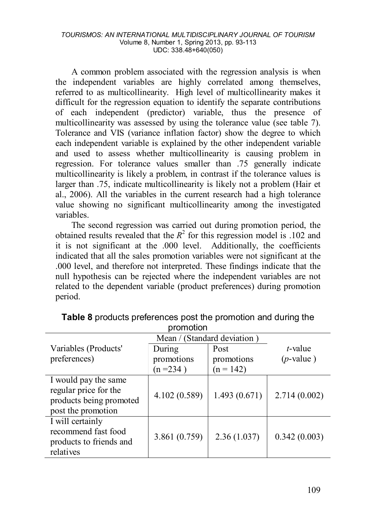#### *TOURISMOS: AN INTERNATIONAL MULTIDISCIPLINARY JOURNAL OF TOURISM* Volume 8, Number 1, Spring 2013, pp. 93-113 UDC: 338.48+640(050)

A common problem associated with the regression analysis is when the independent variables are highly correlated among themselves, referred to as multicollinearity. High level of multicollinearity makes it difficult for the regression equation to identify the separate contributions of each independent (predictor) variable, thus the presence of multicollinearity was assessed by using the tolerance value (see table 7). Tolerance and VIS (variance inflation factor) show the degree to which each independent variable is explained by the other independent variable and used to assess whether multicollinearity is causing problem in regression. For tolerance values smaller than .75 generally indicate multicollinearity is likely a problem, in contrast if the tolerance values is larger than .75, indicate multicollinearity is likely not a problem (Hair et al., 2006). All the variables in the current research had a high tolerance value showing no significant multicollinearity among the investigated variables.

The second regression was carried out during promotion period, the obtained results revealed that the  $R^2$  for this regression model is .102 and it is not significant at the .000 level. Additionally, the coefficients indicated that all the sales promotion variables were not significant at the .000 level, and therefore not interpreted. These findings indicate that the null hypothesis can be rejected where the independent variables are not related to the dependent variable (product preferences) during promotion period.

| .                                             |               |              |              |  |  |
|-----------------------------------------------|---------------|--------------|--------------|--|--|
| Mean / (Standard deviation)                   |               |              |              |  |  |
| Variables (Products'                          | During        | Post         | t-value      |  |  |
| preferences)                                  | promotions    | promotions   | $(p$ -value) |  |  |
|                                               | $(n=234)$     | $(n = 142)$  |              |  |  |
| I would pay the same<br>regular price for the |               |              |              |  |  |
| products being promoted<br>post the promotion | 4.102 (0.589) | 1.493(0.671) | 2.714(0.002) |  |  |
| I will certainly<br>recommend fast food       |               |              |              |  |  |
| products to friends and<br>relatives          | 3.861(0.759)  | 2.36(1.037)  | 0.342(0.003) |  |  |

**Table 8** products preferences post the promotion and during the promotion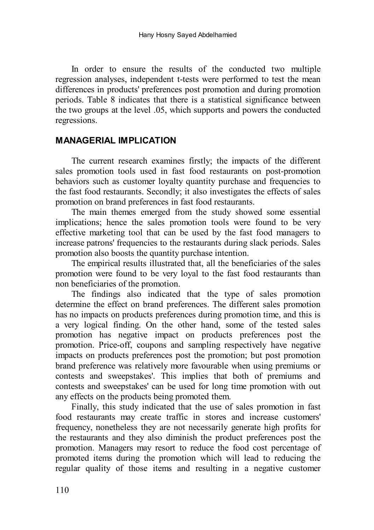In order to ensure the results of the conducted two multiple regression analyses, independent t-tests were performed to test the mean differences in products' preferences post promotion and during promotion periods. Table 8 indicates that there is a statistical significance between the two groups at the level .05, which supports and powers the conducted regressions.

### **MANAGERIAL IMPLICATION**

The current research examines firstly; the impacts of the different sales promotion tools used in fast food restaurants on post-promotion behaviors such as customer loyalty quantity purchase and frequencies to the fast food restaurants. Secondly; it also investigates the effects of sales promotion on brand preferences in fast food restaurants.

The main themes emerged from the study showed some essential implications; hence the sales promotion tools were found to be very effective marketing tool that can be used by the fast food managers to increase patrons' frequencies to the restaurants during slack periods. Sales promotion also boosts the quantity purchase intention.

The empirical results illustrated that, all the beneficiaries of the sales promotion were found to be very loyal to the fast food restaurants than non beneficiaries of the promotion.

The findings also indicated that the type of sales promotion determine the effect on brand preferences. The different sales promotion has no impacts on products preferences during promotion time, and this is a very logical finding. On the other hand, some of the tested sales promotion has negative impact on products preferences post the promotion. Price-off, coupons and sampling respectively have negative impacts on products preferences post the promotion; but post promotion brand preference was relatively more favourable when using premiums or contests and sweepstakes'. This implies that both of premiums and contests and sweepstakes' can be used for long time promotion with out any effects on the products being promoted them.

Finally, this study indicated that the use of sales promotion in fast food restaurants may create traffic in stores and increase customers' frequency, nonetheless they are not necessarily generate high profits for the restaurants and they also diminish the product preferences post the promotion. Managers may resort to reduce the food cost percentage of promoted items during the promotion which will lead to reducing the regular quality of those items and resulting in a negative customer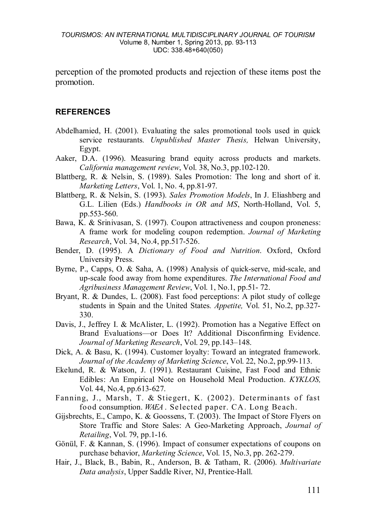perception of the promoted products and rejection of these items post the promotion.

#### **REFERENCES**

- Abdelhamied, H. (2001). Evaluating the sales promotional tools used in quick service restaurants*. Unpublished Master Thesis,* Helwan University, Egypt.
- Aaker, D.A. (1996). Measuring brand equity across products and markets. *California management review*, Vol. 38, No.3, pp.102-120.
- Blattberg, R. & Nelsin, S. (1989). Sales Promotion: The long and short of it. *Marketing Letters*, Vol. 1, No. 4, pp.81-97.
- Blattberg, R. & Nelsin, S. (1993). *Sales Promotion Models*, In J. Eliashberg and G.L. Lilien (Eds.) *Handbooks in OR and MS*, North-Holland, Vol. 5, pp.553-560.
- Bawa, K. & Srinivasan, S. (1997). Coupon attractiveness and coupon proneness: A frame work for modeling coupon redemption. *Journal of Marketing Research*, Vol. 34, No.4, pp.517-526.
- Bender, D. (1995). A *Dictionary of Food and Nutrition*. Oxford, Oxford University Press.
- Byrne, P., Capps, O. & Saha, A. (1998) Analysis of quick-serve, mid-scale, and up-scale food away from home expenditures. *The International Food and Agribusiness Management Review*, Vol. 1, No.1, pp.51- 72.
- Bryant, R. & Dundes, L. (2008). Fast food perceptions: A pilot study of college students in Spain and the United States*. Appetite,* Vol. 51, No.2, pp.327- 330.
- Davis, J., Jeffrey I. & McAlister, L. (1992). Promotion has a Negative Effect on Brand Evaluations—or Does It? Additional Disconfirming Evidence. *Journal of Marketing Research*, Vol. 29, pp.143–148.
- Dick, A. & Basu, K. (1994). Customer loyalty: Toward an integrated framework. *Journal of the Academy of Marketing Science*, Vol. 22, No.2, pp.99-113.
- Ekelund, R. & Watson, J. (1991). Restaurant Cuisine, Fast Food and Ethnic Edibles: An Empirical Note on Household Meal Production. *KYKLOS,*  Vol. 44, No.4, pp.613-627.
- Fanning, J., Marsh, T. & Stiegert, K. (2002). Determinants of fast food consumption. *WAEA* . Selected paper. CA. Long Beach.
- Gijsbrechts, E., Campo, K. & Goossens, T. (2003). The Impact of Store Flyers on Store Traffic and Store Sales: A Geo-Marketing Approach, *Journal of Retailing*, Vol. 79, pp.1-16.
- Gönül, F. & Kannan, S. (1996). Impact of consumer expectations of coupons on purchase behavior, *Marketing Science*, Vol. 15, No.3, pp. 262-279.
- *0T*Hair, J., Black, B., Babin, R., Anderson, B. *0T*& *0T*Tatham, R. (2006). *Multivariate Data analysis*, Upper Saddle River, NJ, Prentice-Hall.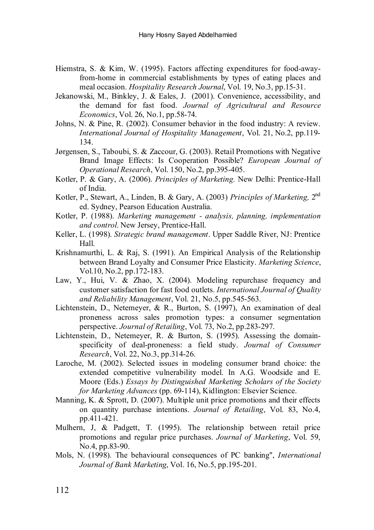- Hiemstra, S. & Kim, W. (1995). Factors affecting expenditures for food-awayfrom-home in commercial establishments by types of eating places and meal occasion. *Hospitality Research Journal*, Vol. 19, No.3, pp.15-31.
- Jekanowski, M., Binkley, J. & Eales, J. (2001). Convenience, accessibility, and the demand for fast food. *Journal of Agricultural and Resource Economics*, Vol. 26, No.1, pp.58-74.
- Johns, N. & Pine, R. (2002). Consumer behavior in the food industry: A review. *International Journal of Hospitality Management*, Vol. 21, No.2, pp.119- 134.
- Jørgensen, S., Taboubi, S. & Zaccour, G. (2003). Retail Promotions with Negative Brand Image Effects: Is Cooperation Possible? *European Journal of Operational Research*, Vol. 150, No.2, pp.395-405.
- Kotler, P. & Gary, A. (2006). *Principles of Marketing.* New Delhi: Prentice-Hall of India.
- Kotler, P., Stewart, A., Linden, B. & Gary, A. (2003) *Principles of Marketing,* 2nd ed. Sydney, Pearson Education Australia.
- Kotler, P. (1988). *Marketing management - analysis, planning, implementation and control*. New Jersey, Prentice-Hall.
- Keller, L. (1998). *Strategic brand management*. Upper Saddle River, NJ: Prentice Hall.
- Krishnamurthi, L. & Raj, S. (1991). An Empirical Analysis of the Relationship between Brand Loyalty and Consumer Price Elasticity. *Marketing Science*, Vol.10, No.2, pp.172-183.
- Law, Y., Hui, V. & Zhao, X. (2004). Modeling repurchase frequency and customer satisfaction for fast food outlets. *International Journal of Quality and Reliability Management*, Vol. 21, No.5, pp.545-563.
- Lichtenstein, D., Netemeyer, & R., Burton, S. (1997), An examination of deal proneness across sales promotion types: a consumer segmentation perspective. *Journal of Retailing*, Vol. 73, No.2, pp.283-297.
- Lichtenstein, D., Netemeyer, R. & Burton, S. (1995). Assessing the domainspecificity of deal-proneness: a field study. *Journal of Consumer Research*, Vol. 22, No.3, pp.314-26.
- Laroche, M. (2002). Selected issues in modeling consumer brand choice: the extended competitive vulnerability model. In A.G. Woodside and E. Moore (Eds.) *Essays by Distinguished Marketing Scholars of the Society for Marketing Advances* (pp. 69-114), Kidlington: Elsevier Science.
- Manning, K. & Sprott, D. (2007). Multiple unit price promotions and their effects on quantity purchase intentions. *Journal of Retailing*, Vol. 83, No.4, pp.411-421.
- Mulhern, J, & Padgett, T. (1995). The relationship between retail price promotions and regular price purchases. *Journal of Marketing*, Vol. 59, No.4, pp.83-90.
- Mols, N. (1998). The behavioural consequences of PC banking", *International Journal of Bank Marketing*, Vol. 16, No.5, pp.195-201.